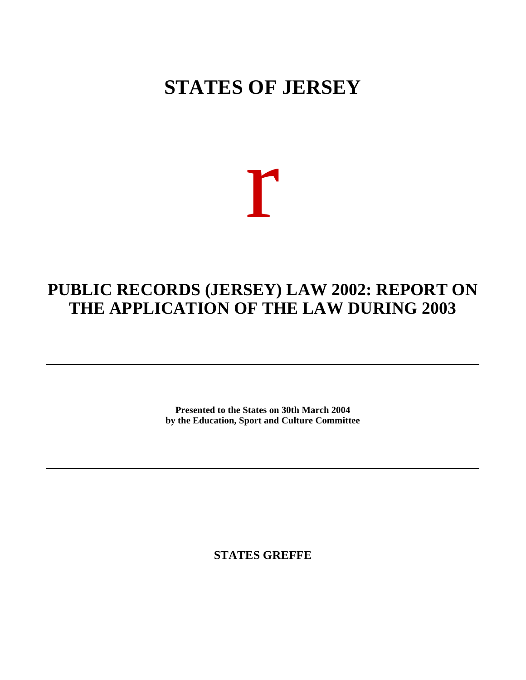## **STATES OF JERSEY**

# r

### **PUBLIC RECORDS (JERSEY) LAW 2002: REPORT ON THE APPLICATION OF THE LAW DURING 2003**

**Presented to the States on 30th March 2004 by the Education, Sport and Culture Committee**

**STATES GREFFE**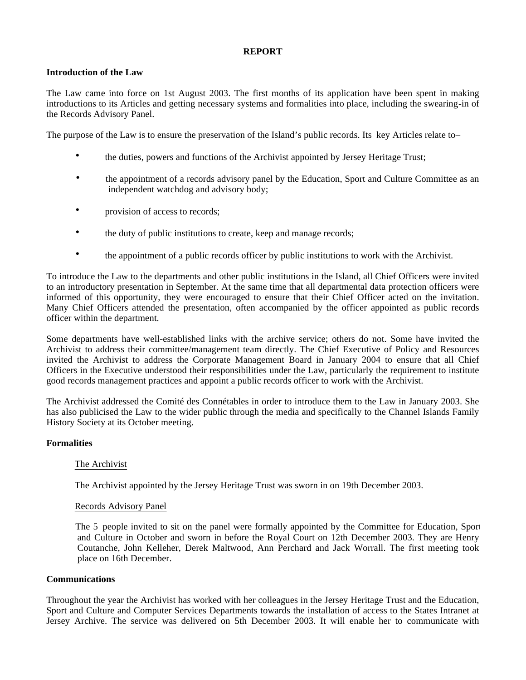#### **REPORT**

#### **Introduction of the Law**

The Law came into force on 1st August 2003. The first months of its application have been spent in making introductions to its Articles and getting necessary systems and formalities into place, including the swearing-in of the Records Advisory Panel.

The purpose of the Law is to ensure the preservation of the Island's public records. Its key Articles relate to

- the duties, powers and functions of the Archivist appointed by Jersey Heritage Trust;
- the appointment of a records advisory panel by the Education, Sport and Culture Committee as an independent watchdog and advisory body;
- provision of access to records;
- the duty of public institutions to create, keep and manage records;
- the appointment of a public records officer by public institutions to work with the Archivist.

To introduce the Law to the departments and other public institutions in the Island, all Chief Officers were invited to an introductory presentation in September. At the same time that all departmental data protection officers were informed of this opportunity, they were encouraged to ensure that their Chief Officer acted on the invitation. Many Chief Officers attended the presentation, often accompanied by the officer appointed as public records officer within the department.

Some departments have well-established links with the archive service; others do not. Some have invited the Archivist to address their committee/management team directly. The Chief Executive of Policy and Resources invited the Archivist to address the Corporate Management Board in January 2004 to ensure that all Chief Officers in the Executive understood their responsibilities under the Law, particularly the requirement to institute good records management practices and appoint a public records officer to work with the Archivist.

The Archivist addressed the Comité des Connétables in order to introduce them to the Law in January 2003. She has also publicised the Law to the wider public through the media and specifically to the Channel Islands Family History Society at its October meeting.

#### **Formalities**

#### The Archivist

The Archivist appointed by the Jersey Heritage Trust was sworn in on 19th December 2003.

#### Records Advisory Panel

 The 5 people invited to sit on the panel were formally appointed by the Committee for Education, Sport and Culture in October and sworn in before the Royal Court on 12th December 2003. They are Henry Coutanche, John Kelleher, Derek Maltwood, Ann Perchard and Jack Worrall. The first meeting took place on 16th December.

#### **Communications**

Throughout the year the Archivist has worked with her colleagues in the Jersey Heritage Trust and the Education, Sport and Culture and Computer Services Departments towards the installation of access to the States Intranet at Jersey Archive. The service was delivered on 5th December 2003. It will enable her to communicate with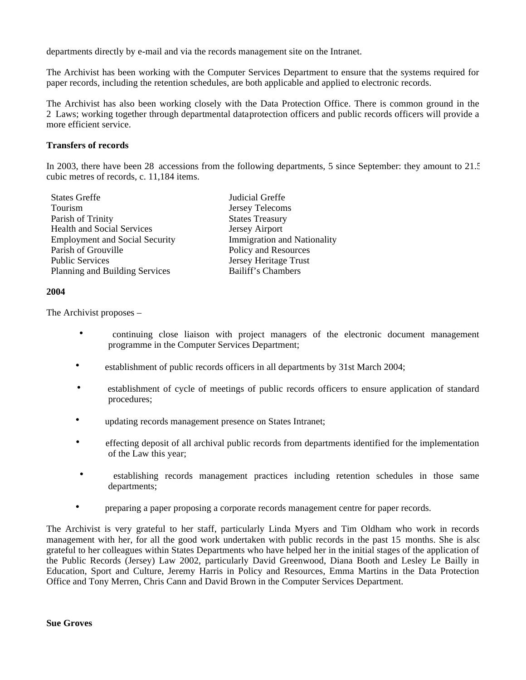departments directly by e-mail and via the records management site on the Intranet.

The Archivist has been working with the Computer Services Department to ensure that the systems required for paper records, including the retention schedules, are both applicable and applied to electronic records.

The Archivist has also been working closely with the Data Protection Office. There is common ground in the 2 Laws; working together through departmental dataprotection officers and public records officers will provide a more efficient service.

#### **Transfers of records**

In 2003, there have been 28 accessions from the following departments, 5 since September: they amount to 21.5 cubic metres of records, c. 11,184 items.

| Judicial Greffe                    |
|------------------------------------|
| Jersey Telecoms                    |
| <b>States Treasury</b>             |
| Jersey Airport                     |
| <b>Immigration and Nationality</b> |
| Policy and Resources               |
| Jersey Heritage Trust              |
| Bailiff's Chambers                 |
|                                    |

#### **2004**

The Archivist proposes –

- continuing close liaison with project managers of the electronic document management programme in the Computer Services Department;
- establishment of public records officers in all departments by 31st March 2004;
- establishment of cycle of meetings of public records officers to ensure application of standard procedures;
- updating records management presence on States Intranet;
- effecting deposit of all archival public records from departments identified for the implementation of the Law this year;
- establishing records management practices including retention schedules in those same departments;
- preparing a paper proposing a corporate records management centre for paper records.

The Archivist is very grateful to her staff, particularly Linda Myers and Tim Oldham who work in records management with her, for all the good work undertaken with public records in the past 15 months. She is also grateful to her colleagues within States Departments who have helped her in the initial stages of the application of the Public Records (Jersey) Law 2002, particularly David Greenwood, Diana Booth and Lesley Le Bailly in Education, Sport and Culture, Jeremy Harris in Policy and Resources, Emma Martins in the Data Protection Office and Tony Merren, Chris Cann and David Brown in the Computer Services Department.